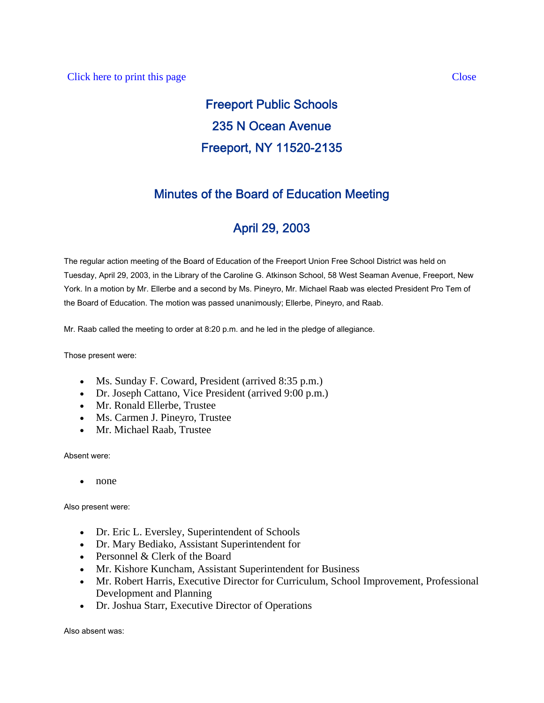# Freeport Public Schools 235 N Ocean Avenue Freeport, NY 11520-2135

## Minutes of the Board of Education Meeting

## April 29, 2003

The regular action meeting of the Board of Education of the Freeport Union Free School District was held on Tuesday, April 29, 2003, in the Library of the Caroline G. Atkinson School, 58 West Seaman Avenue, Freeport, New York. In a motion by Mr. Ellerbe and a second by Ms. Pineyro, Mr. Michael Raab was elected President Pro Tem of the Board of Education. The motion was passed unanimously; Ellerbe, Pineyro, and Raab.

Mr. Raab called the meeting to order at 8:20 p.m. and he led in the pledge of allegiance.

Those present were:

- Ms. Sunday F. Coward, President (arrived 8:35 p.m.)
- Dr. Joseph Cattano, Vice President (arrived 9:00 p.m.)
- Mr. Ronald Ellerbe, Trustee
- Ms. Carmen J. Pineyro, Trustee
- Mr. Michael Raab, Trustee

## Absent were:

• none

Also present were:

- Dr. Eric L. Eversley, Superintendent of Schools
- Dr. Mary Bediako, Assistant Superintendent for
- Personnel & Clerk of the Board
- Mr. Kishore Kuncham, Assistant Superintendent for Business
- Mr. Robert Harris, Executive Director for Curriculum, School Improvement, Professional Development and Planning
- Dr. Joshua Starr, Executive Director of Operations

Also absent was: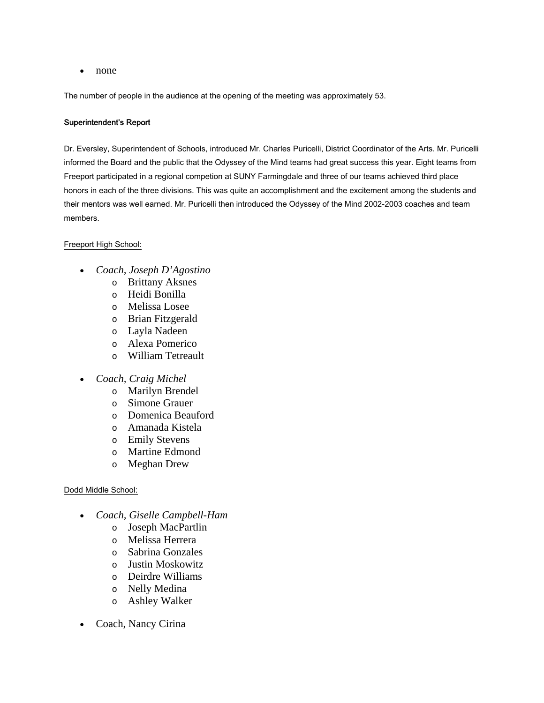• none

The number of people in the audience at the opening of the meeting was approximately 53.

#### Superintendent's Report

Dr. Eversley, Superintendent of Schools, introduced Mr. Charles Puricelli, District Coordinator of the Arts. Mr. Puricelli informed the Board and the public that the Odyssey of the Mind teams had great success this year. Eight teams from Freeport participated in a regional competion at SUNY Farmingdale and three of our teams achieved third place honors in each of the three divisions. This was quite an accomplishment and the excitement among the students and their mentors was well earned. Mr. Puricelli then introduced the Odyssey of the Mind 2002-2003 coaches and team members.

#### Freeport High School:

- *Coach, Joseph D'Agostino*
	- o Brittany Aksnes
	- o Heidi Bonilla
	- o Melissa Losee
	- o Brian Fitzgerald
	- o Layla Nadeen
	- o Alexa Pomerico
	- o William Tetreault
- *Coach, Craig Michel* 
	- o Marilyn Brendel
	- o Simone Grauer
	- o Domenica Beauford
	- o Amanada Kistela
	- o Emily Stevens
	- o Martine Edmond
	- o Meghan Drew

#### Dodd Middle School:

- *Coach, Giselle Campbell-Ham* 
	- o Joseph MacPartlin
	- o Melissa Herrera
	- o Sabrina Gonzales
	- o Justin Moskowitz
	- o Deirdre Williams
	- o Nelly Medina
	- o Ashley Walker
- Coach, Nancy Cirina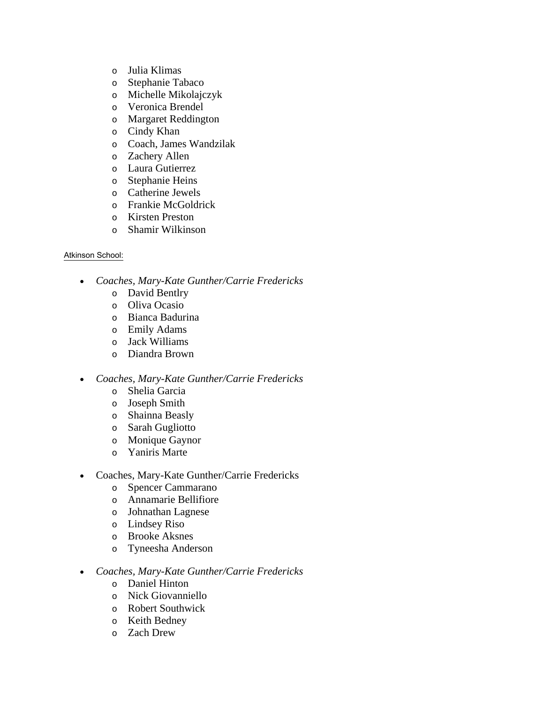- o Julia Klimas
- o Stephanie Tabaco
- o Michelle Mikolajczyk
- o Veronica Brendel
- o Margaret Reddington
- o Cindy Khan
- o Coach, James Wandzilak
- o Zachery Allen
- o Laura Gutierrez
- o Stephanie Heins
- o Catherine Jewels
- o Frankie McGoldrick
- o Kirsten Preston
- o Shamir Wilkinson

## Atkinson School:

- *Coaches, Mary-Kate Gunther/Carrie Fredericks* 
	- o David Bentlry
	- o Oliva Ocasio
	- o Bianca Badurina
	- o Emily Adams
	- o Jack Williams
	- o Diandra Brown
- *Coaches, Mary-Kate Gunther/Carrie Fredericks*
	- o Shelia Garcia
	- o Joseph Smith
	- o Shainna Beasly
	- o Sarah Gugliotto
	- o Monique Gaynor
	- o Yaniris Marte
- Coaches, Mary-Kate Gunther/Carrie Fredericks
	- o Spencer Cammarano
	- o Annamarie Bellifiore
	- o Johnathan Lagnese
	- o Lindsey Riso
	- o Brooke Aksnes
	- o Tyneesha Anderson
- *Coaches, Mary-Kate Gunther/Carrie Fredericks*
	- o Daniel Hinton
	- o Nick Giovanniello
	- o Robert Southwick
	- o Keith Bedney
	- o Zach Drew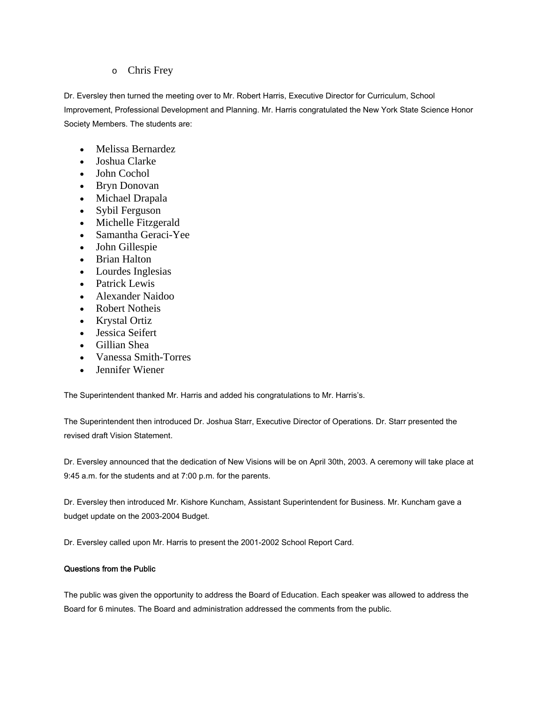## o Chris Frey

Dr. Eversley then turned the meeting over to Mr. Robert Harris, Executive Director for Curriculum, School Improvement, Professional Development and Planning. Mr. Harris congratulated the New York State Science Honor Society Members. The students are:

- Melissa Bernardez
- Joshua Clarke
- John Cochol
- Bryn Donovan
- Michael Drapala
- Sybil Ferguson
- Michelle Fitzgerald
- Samantha Geraci-Yee
- John Gillespie
- Brian Halton
- Lourdes Inglesias
- Patrick Lewis
- Alexander Naidoo
- Robert Notheis
- Krystal Ortiz
- Jessica Seifert
- Gillian Shea
- Vanessa Smith-Torres
- Jennifer Wiener

The Superintendent thanked Mr. Harris and added his congratulations to Mr. Harris's.

The Superintendent then introduced Dr. Joshua Starr, Executive Director of Operations. Dr. Starr presented the revised draft Vision Statement.

Dr. Eversley announced that the dedication of New Visions will be on April 30th, 2003. A ceremony will take place at 9:45 a.m. for the students and at 7:00 p.m. for the parents.

Dr. Eversley then introduced Mr. Kishore Kuncham, Assistant Superintendent for Business. Mr. Kuncham gave a budget update on the 2003-2004 Budget.

Dr. Eversley called upon Mr. Harris to present the 2001-2002 School Report Card.

## Questions from the Public

The public was given the opportunity to address the Board of Education. Each speaker was allowed to address the Board for 6 minutes. The Board and administration addressed the comments from the public.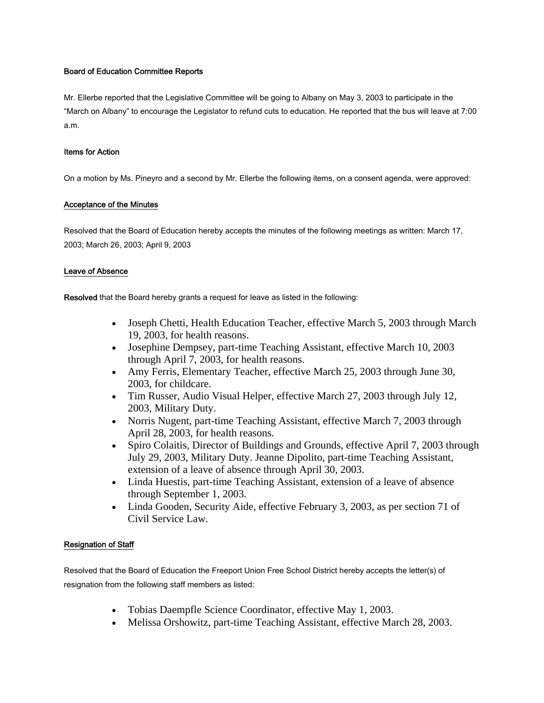#### Board of Education Committee Reports

Mr. Ellerbe reported that the Legislative Committee will be going to Albany on May 3, 2003 to participate in the "March on Albany" to encourage the Legislator to refund cuts to education. He reported that the bus will leave at 7:00 a.m.

#### Items for Action

On a motion by Ms. Pineyro and a second by Mr. Ellerbe the following items, on a consent agenda, were approved:

### Acceptance of the Minutes

Resolved that the Board of Education hereby accepts the minutes of the following meetings as written: March 17, 2003; March 26, 2003; April 9, 2003

## Leave of Absence

Resolved that the Board hereby grants a request for leave as listed in the following:

- Joseph Chetti, Health Education Teacher, effective March 5, 2003 through March 19, 2003, for health reasons.
- Josephine Dempsey, part-time Teaching Assistant, effective March 10, 2003 through April 7, 2003, for health reasons.
- Amy Ferris, Elementary Teacher, effective March 25, 2003 through June 30, 2003, for childcare.
- Tim Russer, Audio Visual Helper, effective March 27, 2003 through July 12, 2003, Military Duty.
- Norris Nugent, part-time Teaching Assistant, effective March 7, 2003 through April 28, 2003, for health reasons.
- Spiro Colaitis, Director of Buildings and Grounds, effective April 7, 2003 through July 29, 2003, Military Duty. Jeanne Dipolito, part-time Teaching Assistant, extension of a leave of absence through April 30, 2003.
- Linda Huestis, part-time Teaching Assistant, extension of a leave of absence through September 1, 2003.
- Linda Gooden, Security Aide, effective February 3, 2003, as per section 71 of Civil Service Law.

## Resignation of Staff

Resolved that the Board of Education the Freeport Union Free School District hereby accepts the letter(s) of resignation from the following staff members as listed:

- Tobias Daempfle Science Coordinator, effective May 1, 2003.
- Melissa Orshowitz, part-time Teaching Assistant, effective March 28, 2003.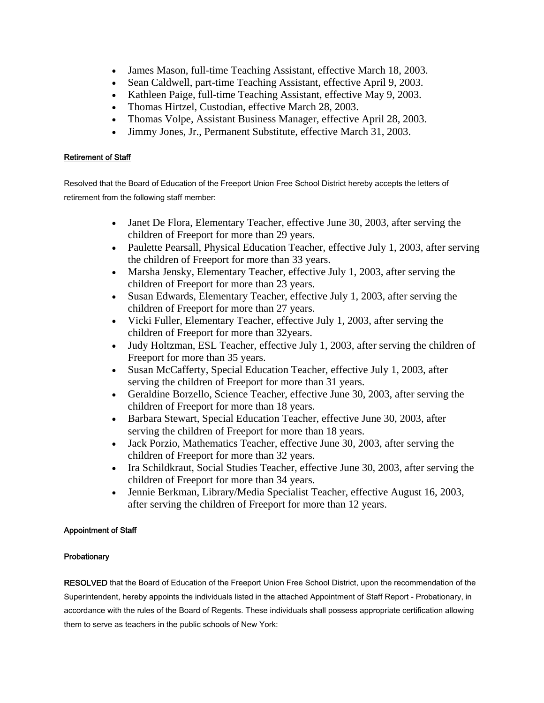- James Mason, full-time Teaching Assistant, effective March 18, 2003.
- Sean Caldwell, part-time Teaching Assistant, effective April 9, 2003.
- Kathleen Paige, full-time Teaching Assistant, effective May 9, 2003.
- Thomas Hirtzel, Custodian, effective March 28, 2003.
- Thomas Volpe, Assistant Business Manager, effective April 28, 2003.
- Jimmy Jones, Jr., Permanent Substitute, effective March 31, 2003.

## Retirement of Staff

Resolved that the Board of Education of the Freeport Union Free School District hereby accepts the letters of retirement from the following staff member:

- Janet De Flora, Elementary Teacher, effective June 30, 2003, after serving the children of Freeport for more than 29 years.
- Paulette Pearsall, Physical Education Teacher, effective July 1, 2003, after serving the children of Freeport for more than 33 years.
- Marsha Jensky, Elementary Teacher, effective July 1, 2003, after serving the children of Freeport for more than 23 years.
- Susan Edwards, Elementary Teacher, effective July 1, 2003, after serving the children of Freeport for more than 27 years.
- Vicki Fuller, Elementary Teacher, effective July 1, 2003, after serving the children of Freeport for more than 32years.
- Judy Holtzman, ESL Teacher, effective July 1, 2003, after serving the children of Freeport for more than 35 years.
- Susan McCafferty, Special Education Teacher, effective July 1, 2003, after serving the children of Freeport for more than 31 years.
- Geraldine Borzello, Science Teacher, effective June 30, 2003, after serving the children of Freeport for more than 18 years.
- Barbara Stewart, Special Education Teacher, effective June 30, 2003, after serving the children of Freeport for more than 18 years.
- Jack Porzio, Mathematics Teacher, effective June 30, 2003, after serving the children of Freeport for more than 32 years.
- Ira Schildkraut, Social Studies Teacher, effective June 30, 2003, after serving the children of Freeport for more than 34 years.
- Jennie Berkman, Library/Media Specialist Teacher, effective August 16, 2003, after serving the children of Freeport for more than 12 years.

## Appointment of Staff

## Probationary

RESOLVED that the Board of Education of the Freeport Union Free School District, upon the recommendation of the Superintendent, hereby appoints the individuals listed in the attached Appointment of Staff Report - Probationary, in accordance with the rules of the Board of Regents. These individuals shall possess appropriate certification allowing them to serve as teachers in the public schools of New York: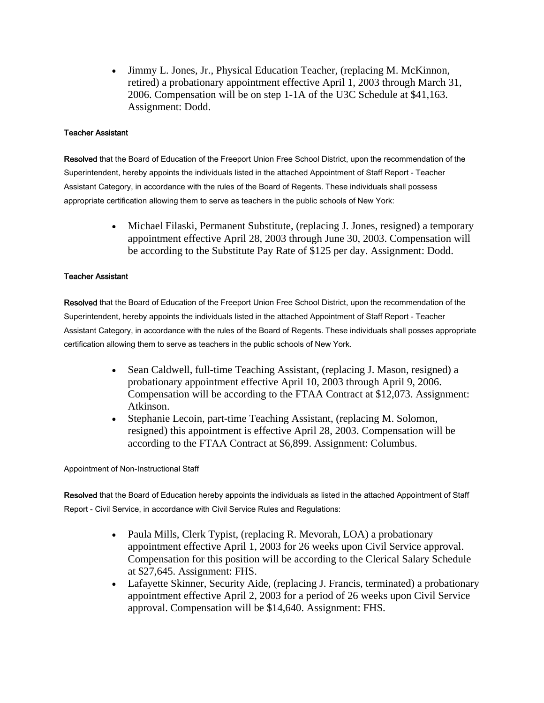• Jimmy L. Jones, Jr., Physical Education Teacher, (replacing M. McKinnon, retired) a probationary appointment effective April 1, 2003 through March 31, 2006. Compensation will be on step 1-1A of the U3C Schedule at \$41,163. Assignment: Dodd.

### Teacher Assistant

Resolved that the Board of Education of the Freeport Union Free School District, upon the recommendation of the Superintendent, hereby appoints the individuals listed in the attached Appointment of Staff Report - Teacher Assistant Category, in accordance with the rules of the Board of Regents. These individuals shall possess appropriate certification allowing them to serve as teachers in the public schools of New York:

> • Michael Filaski, Permanent Substitute, (replacing J. Jones, resigned) a temporary appointment effective April 28, 2003 through June 30, 2003. Compensation will be according to the Substitute Pay Rate of \$125 per day. Assignment: Dodd.

### Teacher Assistant

Resolved that the Board of Education of the Freeport Union Free School District, upon the recommendation of the Superintendent, hereby appoints the individuals listed in the attached Appointment of Staff Report - Teacher Assistant Category, in accordance with the rules of the Board of Regents. These individuals shall posses appropriate certification allowing them to serve as teachers in the public schools of New York.

- Sean Caldwell, full-time Teaching Assistant, (replacing J. Mason, resigned) a probationary appointment effective April 10, 2003 through April 9, 2006. Compensation will be according to the FTAA Contract at \$12,073. Assignment: Atkinson.
- Stephanie Lecoin, part-time Teaching Assistant, (replacing M. Solomon, resigned) this appointment is effective April 28, 2003. Compensation will be according to the FTAA Contract at \$6,899. Assignment: Columbus.

Appointment of Non-Instructional Staff

Resolved that the Board of Education hereby appoints the individuals as listed in the attached Appointment of Staff Report - Civil Service, in accordance with Civil Service Rules and Regulations:

- Paula Mills, Clerk Typist, (replacing R. Mevorah, LOA) a probationary appointment effective April 1, 2003 for 26 weeks upon Civil Service approval. Compensation for this position will be according to the Clerical Salary Schedule at \$27,645. Assignment: FHS.
- Lafayette Skinner, Security Aide, (replacing J. Francis, terminated) a probationary appointment effective April 2, 2003 for a period of 26 weeks upon Civil Service approval. Compensation will be \$14,640. Assignment: FHS.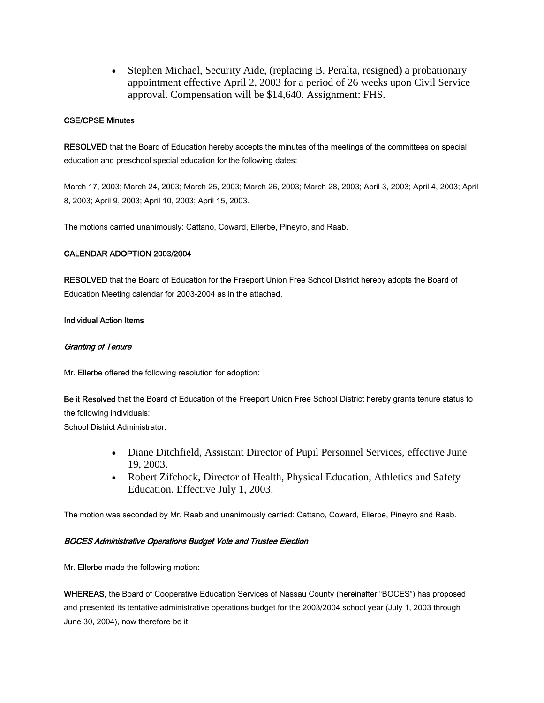• Stephen Michael, Security Aide, (replacing B. Peralta, resigned) a probationary appointment effective April 2, 2003 for a period of 26 weeks upon Civil Service approval. Compensation will be \$14,640. Assignment: FHS.

#### CSE/CPSE Minutes

RESOLVED that the Board of Education hereby accepts the minutes of the meetings of the committees on special education and preschool special education for the following dates:

March 17, 2003; March 24, 2003; March 25, 2003; March 26, 2003; March 28, 2003; April 3, 2003; April 4, 2003; April 8, 2003; April 9, 2003; April 10, 2003; April 15, 2003.

The motions carried unanimously: Cattano, Coward, Ellerbe, Pineyro, and Raab.

### CALENDAR ADOPTION 2003/2004

RESOLVED that the Board of Education for the Freeport Union Free School District hereby adopts the Board of Education Meeting calendar for 2003-2004 as in the attached.

#### Individual Action Items

### Granting of Tenure

Mr. Ellerbe offered the following resolution for adoption:

Be it Resolved that the Board of Education of the Freeport Union Free School District hereby grants tenure status to the following individuals:

School District Administrator:

- Diane Ditchfield, Assistant Director of Pupil Personnel Services, effective June 19, 2003.
- Robert Zifchock, Director of Health, Physical Education, Athletics and Safety Education. Effective July 1, 2003.

The motion was seconded by Mr. Raab and unanimously carried: Cattano, Coward, Ellerbe, Pineyro and Raab.

#### BOCES Administrative Operations Budget Vote and Trustee Election

Mr. Ellerbe made the following motion:

WHEREAS, the Board of Cooperative Education Services of Nassau County (hereinafter "BOCES") has proposed and presented its tentative administrative operations budget for the 2003/2004 school year (July 1, 2003 through June 30, 2004), now therefore be it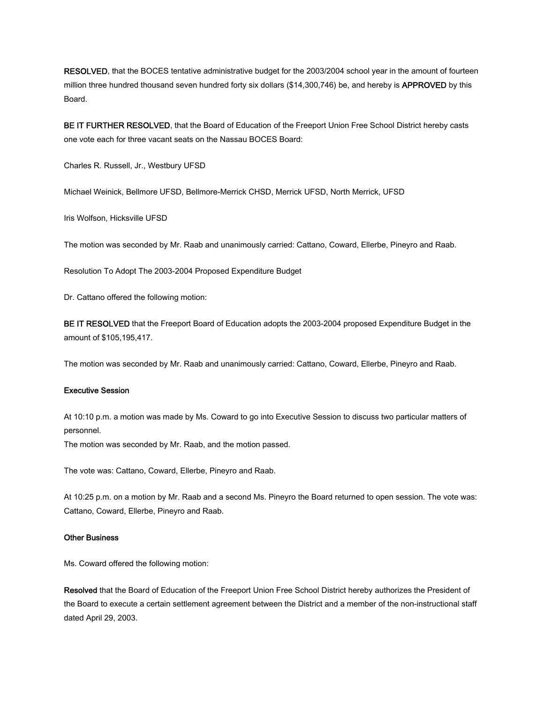RESOLVED, that the BOCES tentative administrative budget for the 2003/2004 school year in the amount of fourteen million three hundred thousand seven hundred forty six dollars (\$14,300,746) be, and hereby is APPROVED by this Board.

BE IT FURTHER RESOLVED, that the Board of Education of the Freeport Union Free School District hereby casts one vote each for three vacant seats on the Nassau BOCES Board:

Charles R. Russell, Jr., Westbury UFSD

Michael Weinick, Bellmore UFSD, Bellmore-Merrick CHSD, Merrick UFSD, North Merrick, UFSD

Iris Wolfson, Hicksville UFSD

The motion was seconded by Mr. Raab and unanimously carried: Cattano, Coward, Ellerbe, Pineyro and Raab.

Resolution To Adopt The 2003-2004 Proposed Expenditure Budget

Dr. Cattano offered the following motion:

BE IT RESOLVED that the Freeport Board of Education adopts the 2003-2004 proposed Expenditure Budget in the amount of \$105,195,417.

The motion was seconded by Mr. Raab and unanimously carried: Cattano, Coward, Ellerbe, Pineyro and Raab.

#### Executive Session

At 10:10 p.m. a motion was made by Ms. Coward to go into Executive Session to discuss two particular matters of personnel.

The motion was seconded by Mr. Raab, and the motion passed.

The vote was: Cattano, Coward, Ellerbe, Pineyro and Raab.

At 10:25 p.m. on a motion by Mr. Raab and a second Ms. Pineyro the Board returned to open session. The vote was: Cattano, Coward, Ellerbe, Pineyro and Raab.

#### Other Business

Ms. Coward offered the following motion:

Resolved that the Board of Education of the Freeport Union Free School District hereby authorizes the President of the Board to execute a certain settlement agreement between the District and a member of the non-instructional staff dated April 29, 2003.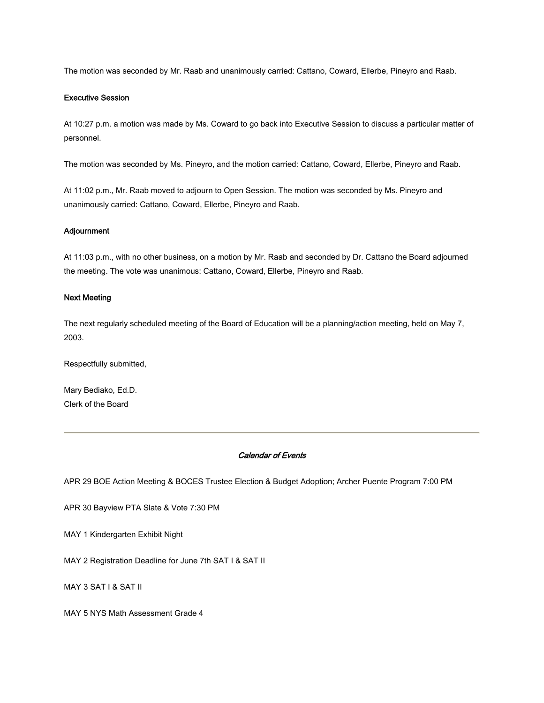The motion was seconded by Mr. Raab and unanimously carried: Cattano, Coward, Ellerbe, Pineyro and Raab.

#### Executive Session

At 10:27 p.m. a motion was made by Ms. Coward to go back into Executive Session to discuss a particular matter of personnel.

The motion was seconded by Ms. Pineyro, and the motion carried: Cattano, Coward, Ellerbe, Pineyro and Raab.

At 11:02 p.m., Mr. Raab moved to adjourn to Open Session. The motion was seconded by Ms. Pineyro and unanimously carried: Cattano, Coward, Ellerbe, Pineyro and Raab.

#### Adjournment

At 11:03 p.m., with no other business, on a motion by Mr. Raab and seconded by Dr. Cattano the Board adjourned the meeting. The vote was unanimous: Cattano, Coward, Ellerbe, Pineyro and Raab.

#### Next Meeting

The next regularly scheduled meeting of the Board of Education will be a planning/action meeting, held on May 7, 2003.

Respectfully submitted,

Mary Bediako, Ed.D. Clerk of the Board

#### Calendar of Events

APR 29 BOE Action Meeting & BOCES Trustee Election & Budget Adoption; Archer Puente Program 7:00 PM

APR 30 Bayview PTA Slate & Vote 7:30 PM

MAY 1 Kindergarten Exhibit Night

MAY 2 Registration Deadline for June 7th SAT I & SAT II

MAY 3 SAT I & SAT II

MAY 5 NYS Math Assessment Grade 4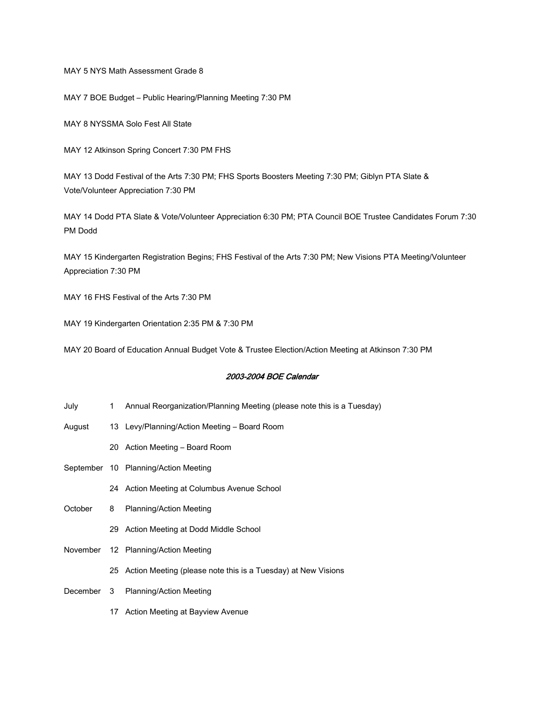MAY 5 NYS Math Assessment Grade 8

MAY 7 BOE Budget – Public Hearing/Planning Meeting 7:30 PM

MAY 8 NYSSMA Solo Fest All State

MAY 12 Atkinson Spring Concert 7:30 PM FHS

MAY 13 Dodd Festival of the Arts 7:30 PM; FHS Sports Boosters Meeting 7:30 PM; Giblyn PTA Slate & Vote/Volunteer Appreciation 7:30 PM

MAY 14 Dodd PTA Slate & Vote/Volunteer Appreciation 6:30 PM; PTA Council BOE Trustee Candidates Forum 7:30 PM Dodd

MAY 15 Kindergarten Registration Begins; FHS Festival of the Arts 7:30 PM; New Visions PTA Meeting/Volunteer Appreciation 7:30 PM

MAY 16 FHS Festival of the Arts 7:30 PM

MAY 19 Kindergarten Orientation 2:35 PM & 7:30 PM

MAY 20 Board of Education Annual Budget Vote & Trustee Election/Action Meeting at Atkinson 7:30 PM

#### 2003-2004 BOE Calendar

- July 1 Annual Reorganization/Planning Meeting (please note this is a Tuesday)
- August 13 Levy/Planning/Action Meeting Board Room
	- 20 Action Meeting Board Room
- September 10 Planning/Action Meeting
	- 24 Action Meeting at Columbus Avenue School
- October 8 Planning/Action Meeting
	- 29 Action Meeting at Dodd Middle School
- November 12 Planning/Action Meeting
	- 25 Action Meeting (please note this is a Tuesday) at New Visions
- December 3 Planning/Action Meeting
	- 17 Action Meeting at Bayview Avenue